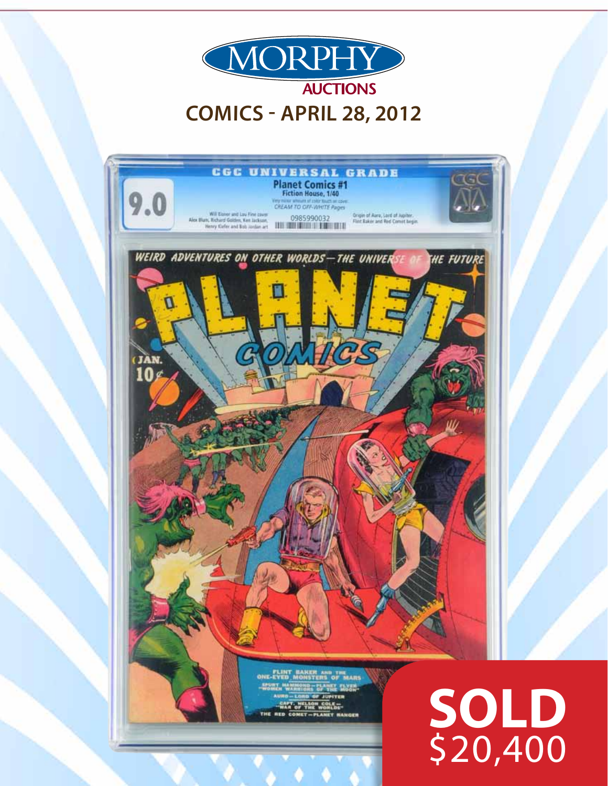